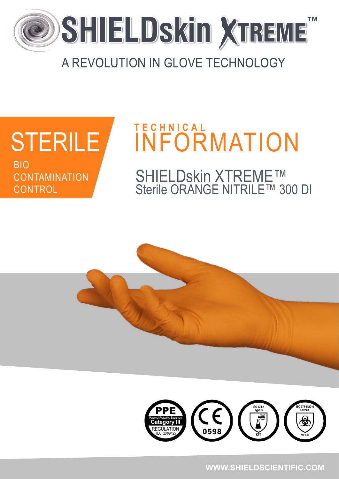

## A REVOLUTION IN GLOVE TECHNOLOGY

# **STERILE RIO CONTAMINATION CONTROL**

# **TECHNICAL İNFÖRMATION**

SHIELDskin XTREME™<br>Sterile ORANGE NITRILE™ 300 DI



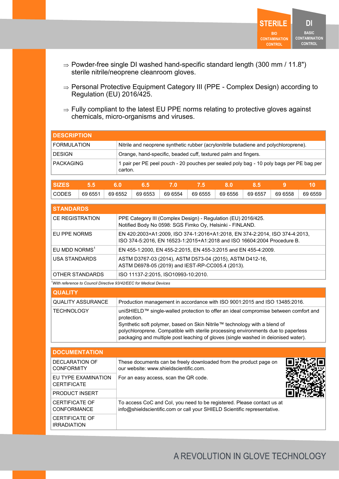

- $\Rightarrow$  Powder-free single DI washed hand-specific standard length (300 mm / 11.8") sterile nitrile/neoprene cleanroom gloves.
- ⇒ Personal Protective Equipment Category III (PPE Complex Design) according to Regulation (EU) 2016/425.
- $\Rightarrow$  Fully compliant to the latest EU PPE norms relating to protective gloves against chemicals, micro-organisms and viruses.

| <b>I DESCRIPTION</b> |                                                                                                    |
|----------------------|----------------------------------------------------------------------------------------------------|
| <b>FORMULATION</b>   | Nitrile and neoprene synthetic rubber (acrylonitrile butadiene and polychloroprene).               |
| <b>DESIGN</b>        | Orange, hand-specific, beaded cuff, textured palm and fingers.                                     |
| <b>PACKAGING</b>     | 1 pair per PE peel pouch - 20 pouches per sealed poly bag - 10 poly bags per PE bag per<br>carton. |

| <b>SIZE.</b> |         |         |         |         |         |         |         |         |         |
|--------------|---------|---------|---------|---------|---------|---------|---------|---------|---------|
| <b>CODES</b> | 69 6551 | 69 6552 | 69 6553 | 69 6554 | 69 6555 | 69 6556 | 69 6557 | 69 6558 | 69 6559 |

| <b>STANDARDS</b>          |                                                                                                                                                        |
|---------------------------|--------------------------------------------------------------------------------------------------------------------------------------------------------|
| CE REGISTRATION           | PPE Category III (Complex Design) - Regulation (EU) 2016/425.<br>Notified Body No 0598: SGS Fimko Oy, Helsinki - FINLAND.                              |
| EU PPE NORMS              | EN 420:2003+A1:2009, ISO 374-1:2016+A1:2018, EN 374-2:2014, ISO 374-4:2013,<br>ISO 374-5:2016, EN 16523-1:2015+A1:2018 and ISO 16604:2004 Procedure B. |
| EU MDD NORMS <sup>1</sup> | EN 455-1:2000, EN 455-2:2015, EN 455-3:2015 and EN 455-4:2009.                                                                                         |
| <b>USA STANDARDS</b>      | ASTM D3767-03 (2014), ASTM D573-04 (2015), ASTM D412-16,<br>ASTM D6978-05 (2019) and IEST-RP-CC005.4 (2013).                                           |
| OTHER STANDARDS           | ISO 11137-2:2015, ISO10993-10:2010.                                                                                                                    |

*<sup>1</sup>With reference to Council Directive 93/42/EEC for Medical Devices*

| <b>QUALITY</b>    |                                                                                                                                                                                                                                                                                                                                                             |
|-------------------|-------------------------------------------------------------------------------------------------------------------------------------------------------------------------------------------------------------------------------------------------------------------------------------------------------------------------------------------------------------|
| QUALITY ASSURANCE | Production management in accordance with ISO 9001:2015 and ISO 13485:2016.                                                                                                                                                                                                                                                                                  |
| TECHNOLOGY        | uniSHIELD™ single-walled protection to offer an ideal compromise between comfort and<br>protection.<br>Synthetic soft polymer, based on Skin Nitrile™ technology with a blend of<br>polychloroprene. Compatible with sterile processing environments due to paperless<br>packaging and multiple post leaching of gloves (single washed in deionised water). |

| <b>DOCUMENTATION</b>                        |                                                                                                                                                    |  |
|---------------------------------------------|----------------------------------------------------------------------------------------------------------------------------------------------------|--|
| DECLARATION OF<br><b>CONFORMITY</b>         | These documents can be freely downloaded from the product page on<br>our website: www.shieldscientific.com.                                        |  |
| EU TYPE EXAMINATION<br><b>CERTIFICATE</b>   | For an easy access, scan the QR code.                                                                                                              |  |
| <b>PRODUCT INSERT</b>                       |                                                                                                                                                    |  |
| <b>CERTIFICATE OF</b><br><b>CONFORMANCE</b> | To access CoC and Col, you need to be registered. Please contact us at<br>info@shieldscientific.com or call your SHIELD Scientific representative. |  |
| <b>CERTIFICATE OF</b><br><b>IRRADIATION</b> |                                                                                                                                                    |  |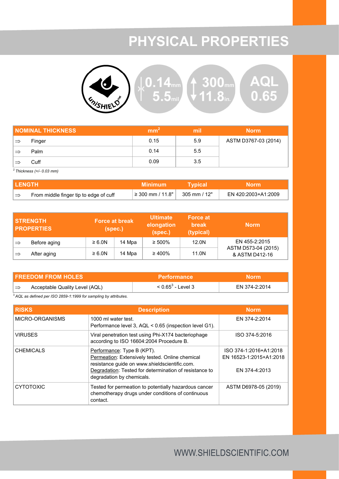## **PHYSICAL PROPERTIES**



| <b>NOMINAL THICKNESS</b> |        | mm <sup>-</sup> | mil | <b>Norm</b>          |
|--------------------------|--------|-----------------|-----|----------------------|
| $\Rightarrow$            | Finger | 0.15            | 5.9 | ASTM D3767-03 (2014) |
|                          | Palm   | 0.14            | 5.5 |                      |
|                          | Cuff   | 0.09            | 3.5 |                      |

<sup>2</sup>*Thickness (+/- 0.03 mm)*

| I LENGTH      |                                        | <b>Minimum</b>                               | Tvpical      | <b>Norm</b>         |
|---------------|----------------------------------------|----------------------------------------------|--------------|---------------------|
| $\Rightarrow$ | From middle finger tip to edge of cuff | $\frac{1}{2}$ 2 300 mm / 11.8" $\frac{1}{2}$ | 305 mm / 12" | EN 420:2003+A1:2009 |

|               | <b>STRENGTH</b><br><b>PROPERTIES</b> | <b>Force at break</b><br>(spec.) |        | <b>Ultimate</b><br>elongation<br>(spec.) | <b>Force at</b><br><b>break</b><br>(typical) | <b>Norm</b>                           |
|---------------|--------------------------------------|----------------------------------|--------|------------------------------------------|----------------------------------------------|---------------------------------------|
| ∣⇒            | Before aging                         | $\geq 6.0N$                      | 14 Mpa | $\geq 500\%$                             | 12.0 <sub>N</sub>                            | EN 455-2:2015                         |
| $\Rightarrow$ | After aging                          | $\geq 6.0N$                      | 14 Mpa | $\geq 400\%$                             | 11.0N                                        | ASTM D573-04 (2015)<br>& ASTM D412-16 |

| <b>FREEDOM FROM HOLES</b> |                                | <b>Performance</b>   | Norm          |  |
|---------------------------|--------------------------------|----------------------|---------------|--|
| $\rightarrow$             | Acceptable Quality Level (AQL) | $< 0.65^3$ - Level 3 | EN 374-2:2014 |  |

<sup>3</sup>*AQL as defined per ISO 2859-1:1999 for sampling by attributes.*

| <b>RISKS</b>     | <b>Description</b>                                                                                                                                                                                                    | <b>Norm</b>                                                        |
|------------------|-----------------------------------------------------------------------------------------------------------------------------------------------------------------------------------------------------------------------|--------------------------------------------------------------------|
| MICRO-ORGANISMS  | 1000 ml water test.<br>Performance level 3, AQL < 0.65 (inspection level G1).                                                                                                                                         | EN 374-2:2014                                                      |
| <b>VIRUSES</b>   | Viral penetration test using Phi-X174 bacteriophage<br>according to ISO 16604:2004 Procedure B.                                                                                                                       | ISO 374-5:2016                                                     |
| <b>CHEMICALS</b> | Performance: Type B (KPT).<br>Permeation: Extensively tested. Online chemical<br>resistance guide on www.shieldscientific.com.<br>Degradation: Tested for determination of resistance to<br>degradation by chemicals. | ISO 374-1:2016+A1:2018<br>EN 16523-1:2015+A1:2018<br>EN 374-4:2013 |
| <b>CYTOTOXIC</b> | Tested for permeation to potentially hazardous cancer<br>chemotherapy drugs under conditions of continuous<br>contact.                                                                                                | ASTM D6978-05 (2019)                                               |